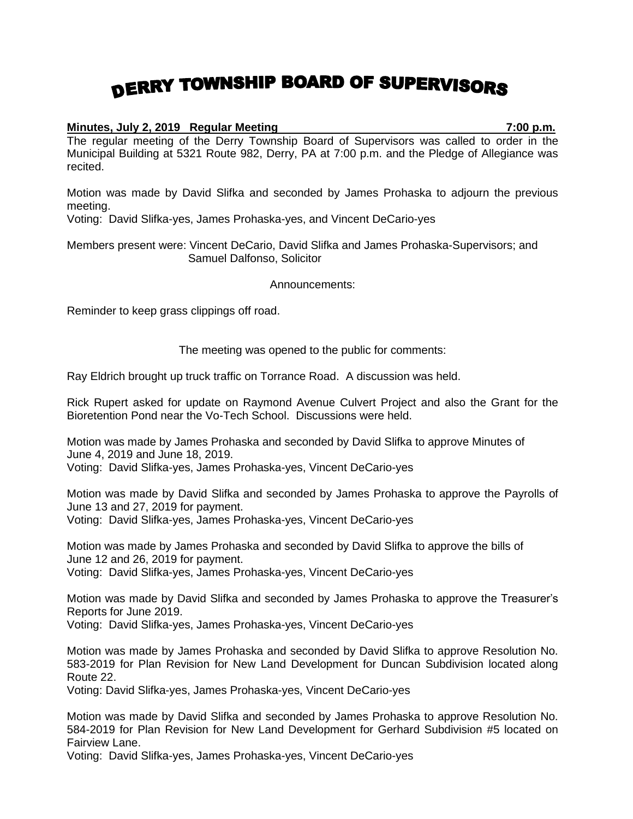## DERRY TOWNSHIP BOARD OF SUPERVISORS

## **Minutes, July 2, 2019 Regular Meeting 7:00 p.m.**

The regular meeting of the Derry Township Board of Supervisors was called to order in the Municipal Building at 5321 Route 982, Derry, PA at 7:00 p.m. and the Pledge of Allegiance was recited.

Motion was made by David Slifka and seconded by James Prohaska to adjourn the previous meeting.

Voting: David Slifka-yes, James Prohaska-yes, and Vincent DeCario-yes

Members present were: Vincent DeCario, David Slifka and James Prohaska-Supervisors; and Samuel Dalfonso, Solicitor

Announcements:

Reminder to keep grass clippings off road.

The meeting was opened to the public for comments:

Ray Eldrich brought up truck traffic on Torrance Road. A discussion was held.

Rick Rupert asked for update on Raymond Avenue Culvert Project and also the Grant for the Bioretention Pond near the Vo-Tech School. Discussions were held.

Motion was made by James Prohaska and seconded by David Slifka to approve Minutes of June 4, 2019 and June 18, 2019.

Voting: David Slifka-yes, James Prohaska-yes, Vincent DeCario-yes

Motion was made by David Slifka and seconded by James Prohaska to approve the Payrolls of June 13 and 27, 2019 for payment. Voting: David Slifka-yes, James Prohaska-yes, Vincent DeCario-yes

Motion was made by James Prohaska and seconded by David Slifka to approve the bills of June 12 and 26, 2019 for payment.

Voting: David Slifka-yes, James Prohaska-yes, Vincent DeCario-yes

Motion was made by David Slifka and seconded by James Prohaska to approve the Treasurer's Reports for June 2019.

Voting: David Slifka-yes, James Prohaska-yes, Vincent DeCario-yes

Motion was made by James Prohaska and seconded by David Slifka to approve Resolution No. 583-2019 for Plan Revision for New Land Development for Duncan Subdivision located along Route 22.

Voting: David Slifka-yes, James Prohaska-yes, Vincent DeCario-yes

Motion was made by David Slifka and seconded by James Prohaska to approve Resolution No. 584-2019 for Plan Revision for New Land Development for Gerhard Subdivision #5 located on Fairview Lane.

Voting: David Slifka-yes, James Prohaska-yes, Vincent DeCario-yes